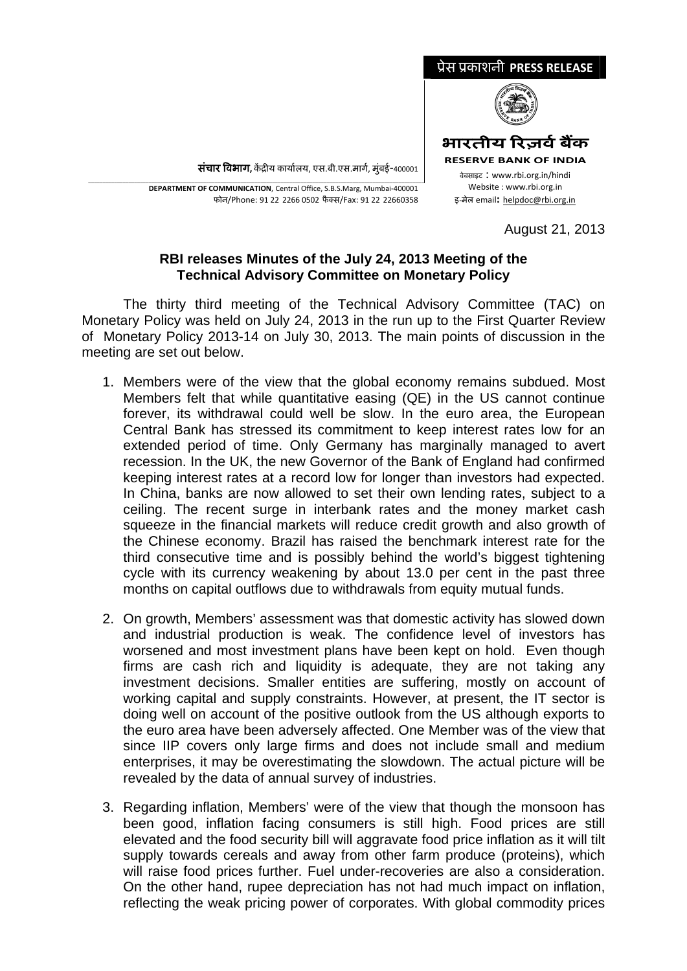

**संचार विभाग,** केंद्रीय कार्यालय, एस.बी.एस.मार्ग, मुंबई-400001

\_\_\_\_\_\_\_\_\_\_\_\_\_\_\_\_\_\_\_\_\_\_\_\_\_\_\_\_\_\_\_\_\_\_\_\_\_\_\_\_\_\_\_\_\_\_\_\_\_\_\_\_\_\_\_\_\_\_\_\_\_\_\_\_\_\_\_\_\_\_\_\_\_\_\_\_\_\_\_\_\_\_\_\_\_\_\_\_\_\_\_\_\_\_\_\_\_\_\_\_\_\_\_\_\_\_\_\_\_\_\_\_\_\_\_\_\_ **DEPARTMENT OF COMMUNICATION**, Central Office, S.B.S.Marg, Mumbai‐400001 फोन/Phone: 91 22 2266 0502 फैक्स/Fax: 91 22 22660358

August 21, 2013

## **RBI releases Minutes of the July 24, 2013 Meeting of the Technical Advisory Committee on Monetary Policy**

The thirty third meeting of the Technical Advisory Committee (TAC) on Monetary Policy was held on July 24, 2013 in the run up to the First Quarter Review of Monetary Policy 2013-14 on July 30, 2013. The main points of discussion in the meeting are set out below.

- 1. Members were of the view that the global economy remains subdued. Most Members felt that while quantitative easing (QE) in the US cannot continue forever, its withdrawal could well be slow. In the euro area, the European Central Bank has stressed its commitment to keep interest rates low for an extended period of time. Only Germany has marginally managed to avert recession. In the UK, the new Governor of the Bank of England had confirmed keeping interest rates at a record low for longer than investors had expected. In China, banks are now allowed to set their own lending rates, subject to a ceiling. The recent surge in interbank rates and the money market cash squeeze in the financial markets will reduce credit growth and also growth of the Chinese economy. Brazil has raised the benchmark interest rate for the third consecutive time and is possibly behind the world's biggest tightening cycle with its currency weakening by about 13.0 per cent in the past three months on capital outflows due to withdrawals from equity mutual funds.
- 2. On growth, Members' assessment was that domestic activity has slowed down and industrial production is weak. The confidence level of investors has worsened and most investment plans have been kept on hold. Even though firms are cash rich and liquidity is adequate, they are not taking any investment decisions. Smaller entities are suffering, mostly on account of working capital and supply constraints. However, at present, the IT sector is doing well on account of the positive outlook from the US although exports to the euro area have been adversely affected. One Member was of the view that since IIP covers only large firms and does not include small and medium enterprises, it may be overestimating the slowdown. The actual picture will be revealed by the data of annual survey of industries.
- 3. Regarding inflation, Members' were of the view that though the monsoon has been good, inflation facing consumers is still high. Food prices are still elevated and the food security bill will aggravate food price inflation as it will tilt supply towards cereals and away from other farm produce (proteins), which will raise food prices further. Fuel under-recoveries are also a consideration. On the other hand, rupee depreciation has not had much impact on inflation, reflecting the weak pricing power of corporates. With global commodity prices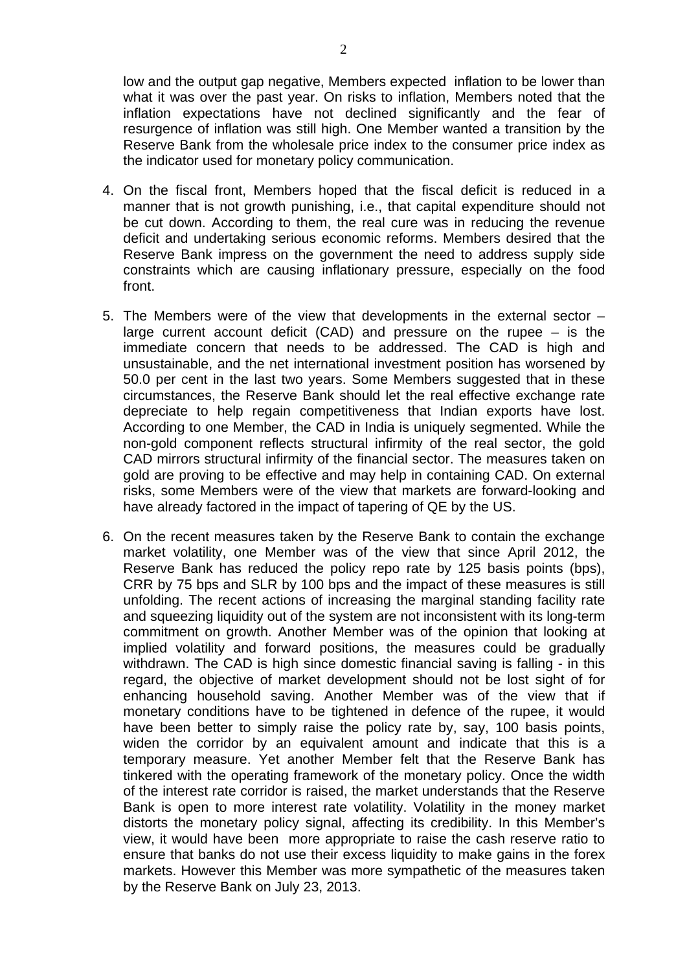low and the output gap negative, Members expected inflation to be lower than what it was over the past year. On risks to inflation, Members noted that the inflation expectations have not declined significantly and the fear of resurgence of inflation was still high. One Member wanted a transition by the Reserve Bank from the wholesale price index to the consumer price index as the indicator used for monetary policy communication.

- 4. On the fiscal front, Members hoped that the fiscal deficit is reduced in a manner that is not growth punishing, i.e., that capital expenditure should not be cut down. According to them, the real cure was in reducing the revenue deficit and undertaking serious economic reforms. Members desired that the Reserve Bank impress on the government the need to address supply side constraints which are causing inflationary pressure, especially on the food front.
- 5. The Members were of the view that developments in the external sector large current account deficit (CAD) and pressure on the rupee – is the immediate concern that needs to be addressed. The CAD is high and unsustainable, and the net international investment position has worsened by 50.0 per cent in the last two years. Some Members suggested that in these circumstances, the Reserve Bank should let the real effective exchange rate depreciate to help regain competitiveness that Indian exports have lost. According to one Member, the CAD in India is uniquely segmented. While the non-gold component reflects structural infirmity of the real sector, the gold CAD mirrors structural infirmity of the financial sector. The measures taken on gold are proving to be effective and may help in containing CAD. On external risks, some Members were of the view that markets are forward-looking and have already factored in the impact of tapering of QE by the US.
- 6. On the recent measures taken by the Reserve Bank to contain the exchange market volatility, one Member was of the view that since April 2012, the Reserve Bank has reduced the policy repo rate by 125 basis points (bps), CRR by 75 bps and SLR by 100 bps and the impact of these measures is still unfolding. The recent actions of increasing the marginal standing facility rate and squeezing liquidity out of the system are not inconsistent with its long-term commitment on growth. Another Member was of the opinion that looking at implied volatility and forward positions, the measures could be gradually withdrawn. The CAD is high since domestic financial saving is falling - in this regard, the objective of market development should not be lost sight of for enhancing household saving. Another Member was of the view that if monetary conditions have to be tightened in defence of the rupee, it would have been better to simply raise the policy rate by, say, 100 basis points, widen the corridor by an equivalent amount and indicate that this is a temporary measure. Yet another Member felt that the Reserve Bank has tinkered with the operating framework of the monetary policy. Once the width of the interest rate corridor is raised, the market understands that the Reserve Bank is open to more interest rate volatility. Volatility in the money market distorts the monetary policy signal, affecting its credibility. In this Member's view, it would have been more appropriate to raise the cash reserve ratio to ensure that banks do not use their excess liquidity to make gains in the forex markets. However this Member was more sympathetic of the measures taken by the Reserve Bank on July 23, 2013.